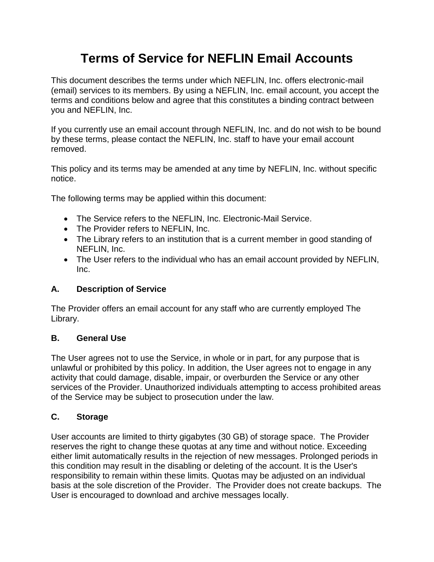# **Terms of Service for NEFLIN Email Accounts**

This document describes the terms under which NEFLIN, Inc. offers electronic-mail (email) services to its members. By using a NEFLIN, Inc. email account, you accept the terms and conditions below and agree that this constitutes a binding contract between you and NEFLIN, Inc.

If you currently use an email account through NEFLIN, Inc. and do not wish to be bound by these terms, please contact the NEFLIN, Inc. staff to have your email account removed.

This policy and its terms may be amended at any time by NEFLIN, Inc. without specific notice.

The following terms may be applied within this document:

- The Service refers to the NEFLIN, Inc. Electronic-Mail Service.
- The Provider refers to NEFLIN, Inc.
- The Library refers to an institution that is a current member in good standing of NEFLIN, Inc.
- The User refers to the individual who has an email account provided by NEFLIN, Inc.

## **A. Description of Service**

The Provider offers an email account for any staff who are currently employed The Library.

## **B. General Use**

The User agrees not to use the Service, in whole or in part, for any purpose that is unlawful or prohibited by this policy. In addition, the User agrees not to engage in any activity that could damage, disable, impair, or overburden the Service or any other services of the Provider. Unauthorized individuals attempting to access prohibited areas of the Service may be subject to prosecution under the law.

# **C. Storage**

User accounts are limited to thirty gigabytes (30 GB) of storage space. The Provider reserves the right to change these quotas at any time and without notice. Exceeding either limit automatically results in the rejection of new messages. Prolonged periods in this condition may result in the disabling or deleting of the account. It is the User's responsibility to remain within these limits. Quotas may be adjusted on an individual basis at the sole discretion of the Provider. The Provider does not create backups. The User is encouraged to download and archive messages locally.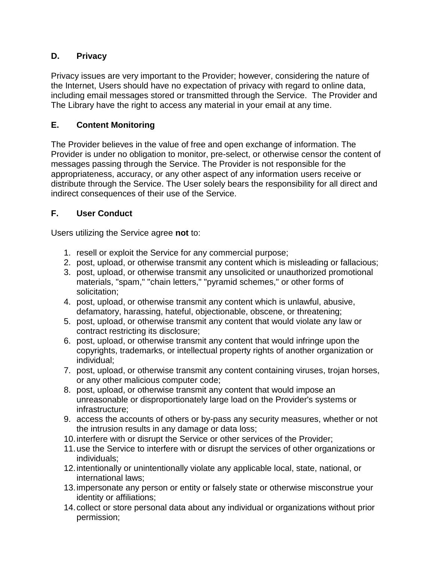# **D. Privacy**

Privacy issues are very important to the Provider; however, considering the nature of the Internet, Users should have no expectation of privacy with regard to online data, including email messages stored or transmitted through the Service. The Provider and The Library have the right to access any material in your email at any time.

# **E. Content Monitoring**

The Provider believes in the value of free and open exchange of information. The Provider is under no obligation to monitor, pre-select, or otherwise censor the content of messages passing through the Service. The Provider is not responsible for the appropriateness, accuracy, or any other aspect of any information users receive or distribute through the Service. The User solely bears the responsibility for all direct and indirect consequences of their use of the Service.

# **F. User Conduct**

Users utilizing the Service agree **not** to:

- 1. resell or exploit the Service for any commercial purpose;
- 2. post, upload, or otherwise transmit any content which is misleading or fallacious;
- 3. post, upload, or otherwise transmit any unsolicited or unauthorized promotional materials, "spam," "chain letters," "pyramid schemes," or other forms of solicitation;
- 4. post, upload, or otherwise transmit any content which is unlawful, abusive, defamatory, harassing, hateful, objectionable, obscene, or threatening;
- 5. post, upload, or otherwise transmit any content that would violate any law or contract restricting its disclosure;
- 6. post, upload, or otherwise transmit any content that would infringe upon the copyrights, trademarks, or intellectual property rights of another organization or individual;
- 7. post, upload, or otherwise transmit any content containing viruses, trojan horses, or any other malicious computer code;
- 8. post, upload, or otherwise transmit any content that would impose an unreasonable or disproportionately large load on the Provider's systems or infrastructure;
- 9. access the accounts of others or by-pass any security measures, whether or not the intrusion results in any damage or data loss;
- 10.interfere with or disrupt the Service or other services of the Provider;
- 11.use the Service to interfere with or disrupt the services of other organizations or individuals;
- 12.intentionally or unintentionally violate any applicable local, state, national, or international laws;
- 13.impersonate any person or entity or falsely state or otherwise misconstrue your identity or affiliations;
- 14.collect or store personal data about any individual or organizations without prior permission;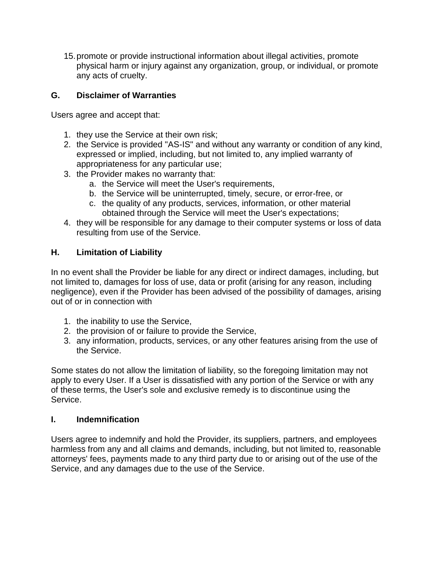15.promote or provide instructional information about illegal activities, promote physical harm or injury against any organization, group, or individual, or promote any acts of cruelty.

## **G. Disclaimer of Warranties**

Users agree and accept that:

- 1. they use the Service at their own risk;
- 2. the Service is provided "AS-IS" and without any warranty or condition of any kind, expressed or implied, including, but not limited to, any implied warranty of appropriateness for any particular use;
- 3. the Provider makes no warranty that:
	- a. the Service will meet the User's requirements,
	- b. the Service will be uninterrupted, timely, secure, or error-free, or
	- c. the quality of any products, services, information, or other material obtained through the Service will meet the User's expectations;
- 4. they will be responsible for any damage to their computer systems or loss of data resulting from use of the Service.

#### **H. Limitation of Liability**

In no event shall the Provider be liable for any direct or indirect damages, including, but not limited to, damages for loss of use, data or profit (arising for any reason, including negligence), even if the Provider has been advised of the possibility of damages, arising out of or in connection with

- 1. the inability to use the Service,
- 2. the provision of or failure to provide the Service,
- 3. any information, products, services, or any other features arising from the use of the Service.

Some states do not allow the limitation of liability, so the foregoing limitation may not apply to every User. If a User is dissatisfied with any portion of the Service or with any of these terms, the User's sole and exclusive remedy is to discontinue using the Service.

#### **I. Indemnification**

Users agree to indemnify and hold the Provider, its suppliers, partners, and employees harmless from any and all claims and demands, including, but not limited to, reasonable attorneys' fees, payments made to any third party due to or arising out of the use of the Service, and any damages due to the use of the Service.